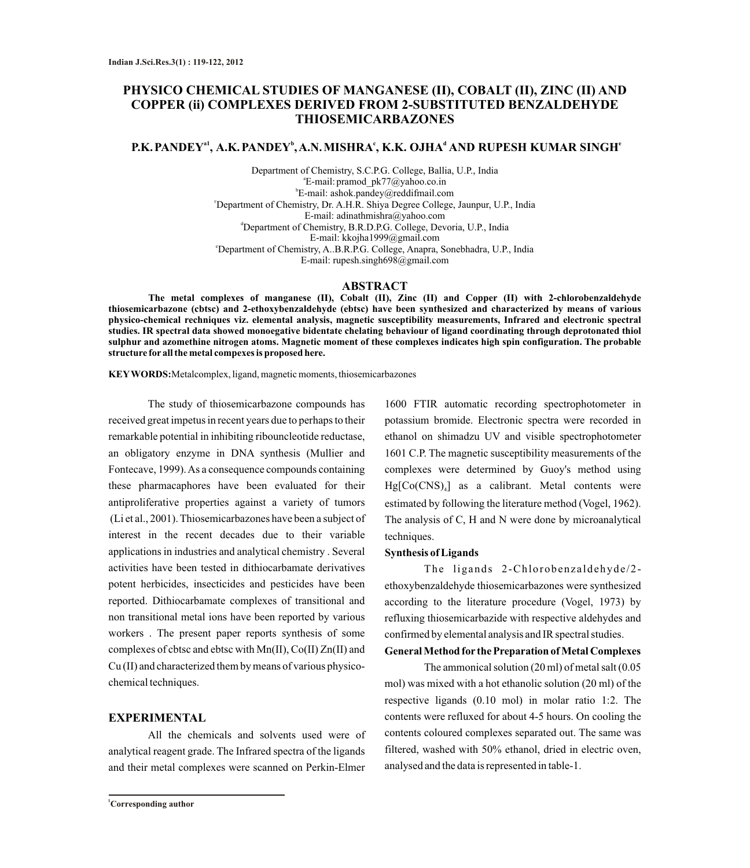# **PHYSICO CHEMICAL STUDIES OF MANGANESE (II), COBALT (II), ZINC (II) AND COPPER (ii) COMPLEXES DERIVED FROM 2-SUBSTITUTED BENZALDEHYDE THIOSEMICARBAZONES**

# **a1 b c d e P.K.PANDEY , A.K.PANDEY ,A.N.MISHRA , K.K. OJHA AND RUPESH KUMAR SINGH**

Department of Chemistry, S.C.P.G. College, Ballia, U.P., India a E-mail:pramod\_pk77@yahoo.co.in b E-mail: ashok.pandey@reddifmail.com <sup>c</sup>Department of Chemistry, Dr. A.H.R. Shiya Degree College, Jaunpur, U.P., India E-mail: adinathmishra@yahoo.com <sup>d</sup>Department of Chemistry, B.R.D.P.G. College, Devoria, U.P., India E-mail: kkojha1999@gmail.com <sup>e</sup>Department of Chemistry, A..B.R.P.G. College, Anapra, Sonebhadra, U.P., India E-mail: rupesh.singh698@gmail.com

#### **ABSTRACT**

**The metal complexes of manganese (II), Cobalt (II), Zinc (II) and Copper (II) with 2-chlorobenzaldehyde thiosemicarbazone (cbtsc) and 2-ethoxybenzaldehyde (ebtsc) have been synthesized and characterized by means of various physico-chemical rechniques viz. elemental analysis, magnetic susceptibility measurements, Infrared and electronic spectral studies. IR spectral data showed monoegative bidentate chelating behaviour of ligand coordinating through deprotonated thiol sulphur and azomethine nitrogen atoms. Magnetic moment of these complexes indicates high spin configuration. The probable structure for all the metal compexes is proposed here.**

**KEYWORDS:**Metalcomplex, ligand, magnetic moments, thiosemicarbazones

The study of thiosemicarbazone compounds has received great impetus in recent years due to perhaps to their remarkable potential in inhibiting ribouncleotide reductase, an obligatory enzyme in DNA synthesis (Mullier and Fontecave, 1999). As a consequence compounds containing these pharmacaphores have been evaluated for their antiproliferative properties against a variety of tumors (Li et al., 2001). Thiosemicarbazones have been a subject of interest in the recent decades due to their variable applications in industries and analytical chemistry . Several activities have been tested in dithiocarbamate derivatives potent herbicides, insecticides and pesticides have been reported. Dithiocarbamate complexes of transitional and non transitional metal ions have been reported by various workers . The present paper reports synthesis of some complexes of cbtsc and ebtsc with Mn(II), Co(II) Zn(II) and Cu (II) and characterized them by means of various physicochemical techniques.

### **EXPERIMENTAL**

All the chemicals and solvents used were of analytical reagent grade. The Infrared spectra of the ligands and their metal complexes were scanned on Perkin-Elmer 1600 FTIR automatic recording spectrophotometer in potassium bromide. Electronic spectra were recorded in ethanol on shimadzu UV and visible spectrophotometer 1601 C.P. The magnetic susceptibility measurements of the complexes were determined by Guoy's method using Hg[Co(CNS)<sup>4</sup> ] as a calibrant. Metal contents were estimated by following the literature method (Vogel, 1962). The analysis of C, H and N were done by microanalytical techniques.

#### **Synthesis of Ligands**

The ligands 2-Chlorobenzaldehyde/2ethoxybenzaldehyde thiosemicarbazones were synthesized according to the literature procedure (Vogel, 1973) by refluxing thiosemicarbazide with respective aldehydes and confirmed by elemental analysis and IR spectral studies.

# **General Method for thePreparation of Metal Complexes**

The ammonical solution (20 ml) of metal salt (0.05 mol) was mixed with a hot ethanolic solution (20 ml) of the respective ligands (0.10 mol) in molar ratio 1:2. The contents were refluxed for about 4-5 hours. On cooling the contents coloured complexes separated out. The same was filtered, washed with 50% ethanol, dried in electric oven, analysed and the data is represented in table-1.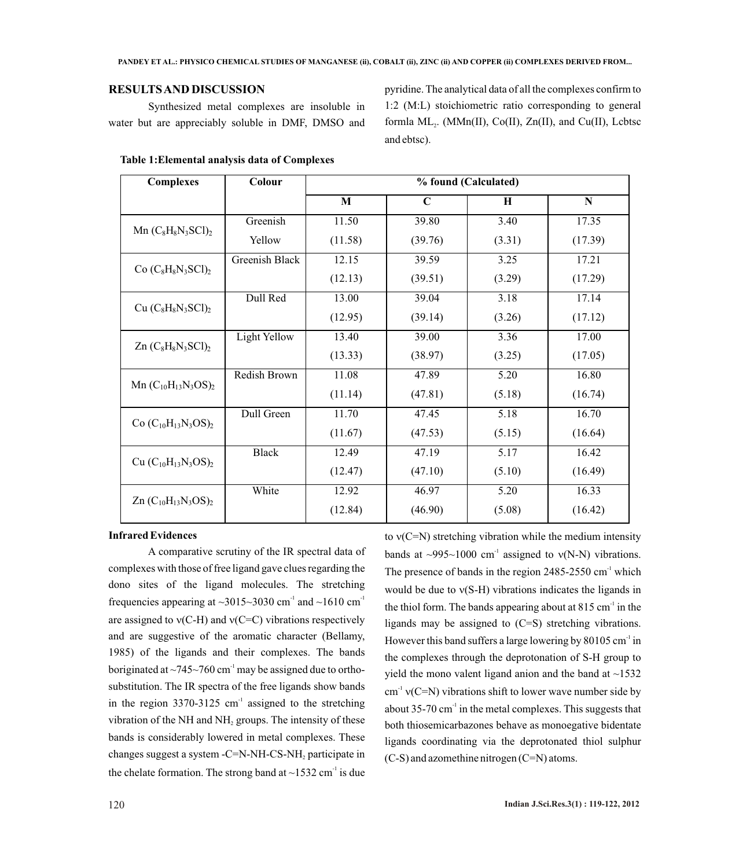## **RESULTS AND DISCUSSION**

Synthesized metal complexes are insoluble in water but are appreciably soluble in DMF, DMSO and

pyridine. The analytical data of all the complexes confirm to 1:2 (M:L) stoichiometric ratio corresponding to general formla  $ML_2$ . (MMn(II), Co(II), Zn(II), and Cu(II), Lebtsc and ebtsc).

| <b>Complexes</b>           | Colour         | % found (Calculated) |             |         |         |
|----------------------------|----------------|----------------------|-------------|---------|---------|
|                            |                | M                    | $\mathbf C$ | $\bf H$ | N       |
| $Mn (C_8H_8N_3SCl)_2$      | Greenish       | 11.50                | 39.80       | 3.40    | 17.35   |
|                            | Yellow         | (11.58)              | (39.76)     | (3.31)  | (17.39) |
| Co $(C_8H_8N_3SCl)_2$      | Greenish Black | 12.15                | 39.59       | 3.25    | 17.21   |
|                            |                | (12.13)              | (39.51)     | (3.29)  | (17.29) |
| $Cu (C_8H_8N_3SCl)_2$      | Dull Red       | 13.00                | 39.04       | 3.18    | 17.14   |
|                            |                | (12.95)              | (39.14)     | (3.26)  | (17.12) |
| $Zn (C_8H_8N_3SCl)_2$      | Light Yellow   | 13.40                | 39.00       | 3.36    | 17.00   |
|                            |                | (13.33)              | (38.97)     | (3.25)  | (17.05) |
| Mn $(C_{10}H_{13}N_3OS)_2$ | Redish Brown   | 11.08                | 47.89       | 5.20    | 16.80   |
|                            |                | (11.14)              | (47.81)     | (5.18)  | (16.74) |
| Co $(C_{10}H_{13}N_3OS)_2$ | Dull Green     | 11.70                | 47.45       | 5.18    | 16.70   |
|                            |                | (11.67)              | (47.53)     | (5.15)  | (16.64) |
| $Cu (C_{10}H_{13}N_3OS)_2$ | <b>Black</b>   | 12.49                | 47.19       | 5.17    | 16.42   |
|                            |                | (12.47)              | (47.10)     | (5.10)  | (16.49) |
| $Zn (C_{10}H_{13}N_3OS)_2$ | White          | 12.92                | 46.97       | 5.20    | 16.33   |
|                            |                | (12.84)              | (46.90)     | (5.08)  | (16.42) |

### **Table 1:Elemental analysis data of Complexes**

### **Infrared Evidences**

A comparative scrutiny of the IR spectral data of complexes with those of free ligand gave clues regarding the dono sites of the ligand molecules. The stretching frequencies appearing at  $\sim$ 3015 $\sim$ 3030 cm<sup>-1</sup> and  $\sim$ 1610 cm<sup>-1</sup> are assigned to  $v(C-H)$  and  $v(C=C)$  vibrations respectively and are suggestive of the aromatic character (Bellamy, 1985) of the ligands and their complexes. The bands boriginated at  $\sim$ 745 $\sim$ 760 cm<sup>-1</sup> may be assigned due to orthosubstitution. The IR spectra of the free ligands show bands in the region  $3370-3125$  cm<sup>-1</sup> assigned to the stretching vibration of the NH and NH, groups. The intensity of these bands is considerably lowered in metal complexes. These changes suggest a system -C=N-NH-CS-NH, participate in the chelate formation. The strong band at  $\sim$ 1532 cm<sup>-1</sup> is due

to  $v(C=N)$  stretching vibration while the medium intensity bands at  $\sim$ 995 $\sim$ 1000 cm<sup>-1</sup> assigned to v(N-N) vibrations. The presence of bands in the region  $2485-2550$  cm<sup>-1</sup> which would be due to  $v(S-H)$  vibrations indicates the ligands in the thiol form. The bands appearing about at  $815 \text{ cm}^{-1}$  in the ligands may be assigned to (C=S) stretching vibrations. However this band suffers a large lowering by  $80105$  cm<sup>-1</sup> in the complexes through the deprotonation of S-H group to yield the mono valent ligand anion and the band at  $\sim$ 1532  $\text{cm}^{-1}$  v(C=N) vibrations shift to lower wave number side by about  $35$ -70 cm<sup>-1</sup> in the metal complexes. This suggests that both thiosemicarbazones behave as monoegative bidentate ligands coordinating via the deprotonated thiol sulphur (C-S) and azomethine nitrogen (C=N) atoms.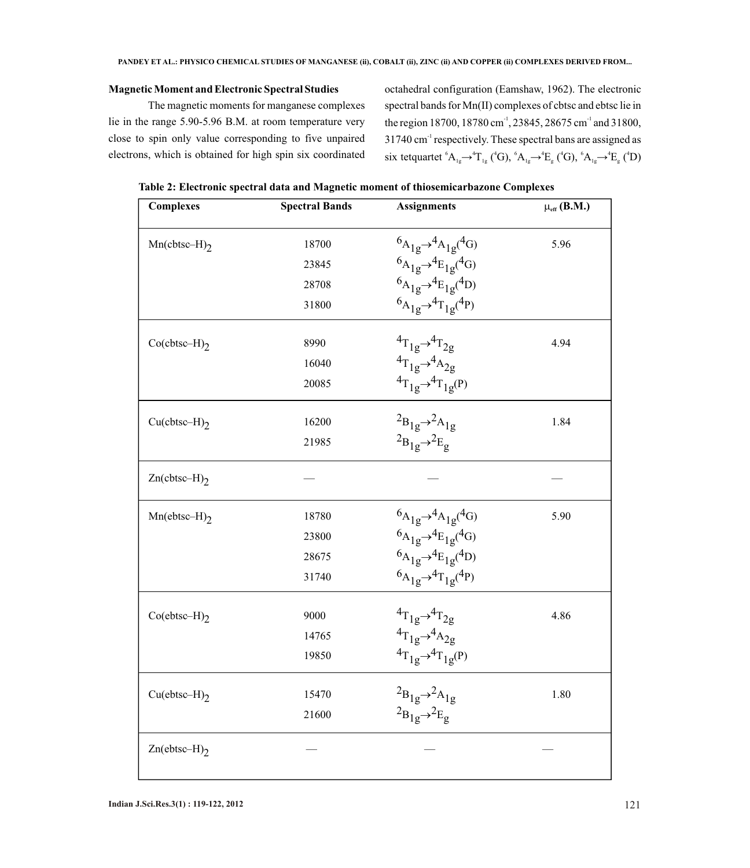## **Magnetic Moment and Electronic Spectral Studies**

The magnetic moments for manganese complexes lie in the range 5.90-5.96 B.M. at room temperature very close to spin only value corresponding to five unpaired electrons, which is obtained for high spin six coordinated

octahedral configuration (Eamshaw, 1962). The electronic spectral bands for Mn(II) complexes of cbtsc and ebtsc lie in the region 18700, 18780 cm<sup>-1</sup>, 23845, 28675 cm<sup>-1</sup> and 31800,  $31740 \text{ cm}^{-1}$  respectively. These spectral bans are assigned as six tetquartet  ${}^{6}A_{1g} \rightarrow {}^{4}T_{1g} ({}^{4}G), {}^{6}A_{1g} \rightarrow {}^{4}E_{g} ({}^{4}G), {}^{6}A_{1g} \rightarrow {}^{4}E_{g} ({}^{4}D)$ 

| <b>Complexes</b>            | <b>Spectral Bands</b> | <b>Assignments</b>                                                                                                                                                | $\mu_{\text{eff}}$ (B.M.) |
|-----------------------------|-----------------------|-------------------------------------------------------------------------------------------------------------------------------------------------------------------|---------------------------|
| $Mn$ (cbtsc–H) <sub>2</sub> | 18700                 | ${}^6A_{1g} \rightarrow {}^4A_{1g} ({}^4G)$                                                                                                                       | 5.96                      |
|                             | 23845                 | ${}^6A_{1g} \rightarrow {}^4E_{1g} ({}^4G)$                                                                                                                       |                           |
|                             | 28708                 | ${}^6A_{1g} \rightarrow {}^4E_{1g} ({}^4D)$                                                                                                                       |                           |
|                             | 31800                 | ${}^6A_{1g} \rightarrow {}^4T_{1g}({}^4P)$                                                                                                                        |                           |
| $Co(cbtsc-H)2$              | 8990                  | $^{4}T_{1g} \rightarrow ^{4}T_{2g}$                                                                                                                               | 4.94                      |
|                             | 16040                 | ${}^{4}T_{1g} \rightarrow {}^{4}A_{2g}$                                                                                                                           |                           |
|                             | 20085                 | ${}^{4}T_{1g} \rightarrow {}^{4}T_{1g}(P)$                                                                                                                        |                           |
| $Cu(cbtsc-H)2$              | 16200                 | ${}^{2}B_{1g} \rightarrow {}^{2}A_{1g}$                                                                                                                           | 1.84                      |
|                             | 21985                 | ${}^{2}B_{1g} \rightarrow {}^{2}E_{g}$                                                                                                                            |                           |
| $Zn$ (cbtsc-H) $2$          |                       |                                                                                                                                                                   |                           |
| $Mn(ebtsc-H)$               | 18780                 | ${}^6A_{1g} \rightarrow {}^4A_{1g} ({}^4G)$                                                                                                                       | 5.90                      |
|                             | 23800                 | ${}^6A_{1g} \rightarrow {}^4E_{1g} ({}^4G)$                                                                                                                       |                           |
|                             | 28675                 | ${}^6A_{1g} \rightarrow {}^4E_{1g} ({}^4D)$                                                                                                                       |                           |
|                             | 31740                 | ${}^6A_{1g} \rightarrow {}^4T_{1g}({}^4P)$                                                                                                                        |                           |
| $Co(ebtsc-H)2$              | 9000                  |                                                                                                                                                                   | 4.86                      |
|                             | 14765                 | $\begin{array}{l} \mathbf{4}_{T_{1g}} \rightarrow \mathbf{4}_{T_{2g}} \\ \mathbf{4}_{T_{1g}} \rightarrow \mathbf{4}_{A_{2g}} \end{array}$                         |                           |
|                             | 19850                 | ${}^4T_{1g} \rightarrow {}^4T_{1g}(P)$                                                                                                                            |                           |
| $Cu(ebtsc-H)2$              | 15470                 |                                                                                                                                                                   | 1.80                      |
|                             | 21600                 | $\begin{array}{l} 2\mathbf{B}_{1\mathrm{g}}{\rightarrow} 2\mathbf{A}_{1\mathrm{g}}\\ 2\mathbf{B}_{1\mathrm{g}}{\rightarrow} 2\mathbf{E}_{\mathrm{g}} \end{array}$ |                           |
| Zn(ebtsc-H) $_2$            |                       |                                                                                                                                                                   |                           |

**Table 2: Electronic spectral data and Magnetic moment of thiosemicarbazone Complexes**